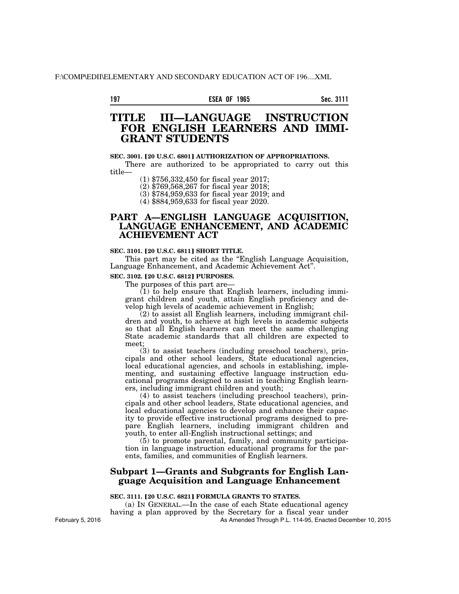## **197 Sec. 3111 ESEA OF 1965**

# **TITLE III—LANGUAGE INSTRUCTION FOR ENGLISH LEARNERS AND IMMI-GRANT STUDENTS**

### **SEC. 3001. [20 U.S.C. 6801] AUTHORIZATION OF APPROPRIATIONS.**

There are authorized to be appropriated to carry out this title—

(1) \$756,332,450 for fiscal year 2017;

(2) \$769,568,267 for fiscal year 2018;

(3) \$784,959,633 for fiscal year 2019; and

(4) \$884,959,633 for fiscal year 2020.

# **PART A—ENGLISH LANGUAGE ACQUISITION, LANGUAGE ENHANCEMENT, AND ACADEMIC ACHIEVEMENT ACT**

## **SEC. 3101. [20 U.S.C. 6811] SHORT TITLE.**

This part may be cited as the "English Language Acquisition, Language Enhancement, and Academic Achievement Act''.

## **SEC. 3102. [20 U.S.C. 6812] PURPOSES.**

The purposes of this part are—

 $(1)$  to help ensure that English learners, including immigrant children and youth, attain English proficiency and develop high levels of academic achievement in English;

(2) to assist all English learners, including immigrant children and youth, to achieve at high levels in academic subjects so that all English learners can meet the same challenging State academic standards that all children are expected to meet;

(3) to assist teachers (including preschool teachers), principals and other school leaders, State educational agencies, local educational agencies, and schools in establishing, implementing, and sustaining effective language instruction educational programs designed to assist in teaching English learners, including immigrant children and youth;

(4) to assist teachers (including preschool teachers), principals and other school leaders, State educational agencies, and local educational agencies to develop and enhance their capacity to provide effective instructional programs designed to prepare English learners, including immigrant children and youth, to enter all-English instructional settings; and

(5) to promote parental, family, and community participation in language instruction educational programs for the parents, families, and communities of English learners.

# **Subpart 1—Grants and Subgrants for English Language Acquisition and Language Enhancement**

## **SEC. 3111. [20 U.S.C. 6821] FORMULA GRANTS TO STATES.**

(a) IN GENERAL.—In the case of each State educational agency having a plan approved by the Secretary for a fiscal year under As Amended Through P.L. 114-95, Enacted December 10, 2015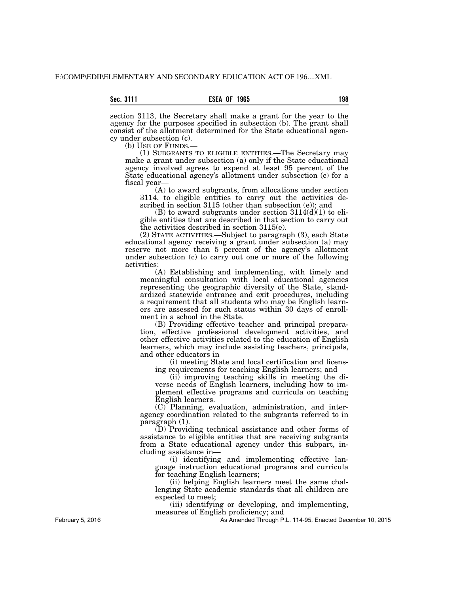section 3113, the Secretary shall make a grant for the year to the agency for the purposes specified in subsection (b). The grant shall consist of the allotment determined for the State educational agency under subsection (c).<br>(b) USE OF FUNDS.-

(1) SUBGRANTS TO ELIGIBLE ENTITIES.—The Secretary may make a grant under subsection (a) only if the State educational agency involved agrees to expend at least 95 percent of the State educational agency's allotment under subsection (c) for a fiscal year—

(A) to award subgrants, from allocations under section 3114, to eligible entities to carry out the activities described in section 3115 (other than subsection (e)); and

(B) to award subgrants under section  $3114(d)(1)$  to eligible entities that are described in that section to carry out the activities described in section 3115(e).

(2) STATE ACTIVITIES.—Subject to paragraph (3), each State educational agency receiving a grant under subsection (a) may reserve not more than 5 percent of the agency's allotment under subsection (c) to carry out one or more of the following activities:

(A) Establishing and implementing, with timely and meaningful consultation with local educational agencies representing the geographic diversity of the State, standardized statewide entrance and exit procedures, including a requirement that all students who may be English learners are assessed for such status within 30 days of enrollment in a school in the State.

(B) Providing effective teacher and principal preparation, effective professional development activities, and other effective activities related to the education of English learners, which may include assisting teachers, principals, and other educators in—

(i) meeting State and local certification and licensing requirements for teaching English learners; and

(ii) improving teaching skills in meeting the diverse needs of English learners, including how to implement effective programs and curricula on teaching English learners.

(C) Planning, evaluation, administration, and interagency coordination related to the subgrants referred to in paragraph (1).

(D) Providing technical assistance and other forms of assistance to eligible entities that are receiving subgrants from a State educational agency under this subpart, including assistance in—

(i) identifying and implementing effective language instruction educational programs and curricula for teaching English learners;

(ii) helping English learners meet the same challenging State academic standards that all children are expected to meet;

(iii) identifying or developing, and implementing, measures of English proficiency; and

As Amended Through P.L. 114-95, Enacted December 10, 2015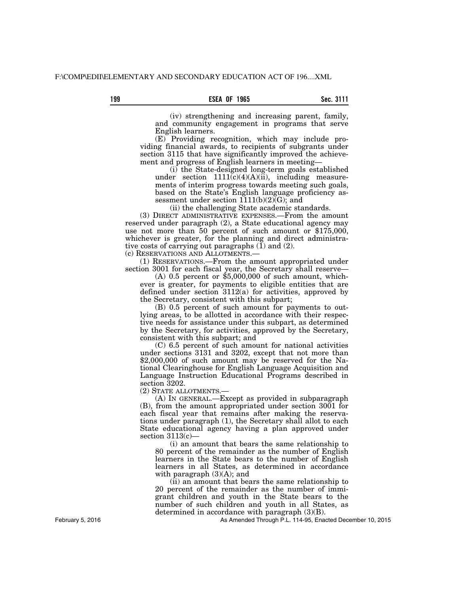## **199 Sec. 3111 ESEA OF 1965**

(iv) strengthening and increasing parent, family, and community engagement in programs that serve English learners.

(E) Providing recognition, which may include providing financial awards, to recipients of subgrants under section 3115 that have significantly improved the achievement and progress of English learners in meeting—

(i) the State-designed long-term goals established under section  $1111(c)(4)(A)(ii)$ , including measurements of interim progress towards meeting such goals, based on the State's English language proficiency assessment under section 1111(b)(2)(G); and

(ii) the challenging State academic standards.

(3) DIRECT ADMINISTRATIVE EXPENSES.—From the amount reserved under paragraph (2), a State educational agency may use not more than 50 percent of such amount or \$175,000, whichever is greater, for the planning and direct administrative costs of carrying out paragraphs  $(1)$  and  $(2)$ .

(c) RESERVATIONS AND ALLOTMENTS.—

(1) RESERVATIONS.—From the amount appropriated under section 3001 for each fiscal year, the Secretary shall reserve—

(A) 0.5 percent or  $\$5,000,000$  of such amount, whichever is greater, for payments to eligible entities that are defined under section 3112(a) for activities, approved by the Secretary, consistent with this subpart;

(B) 0.5 percent of such amount for payments to outlying areas, to be allotted in accordance with their respective needs for assistance under this subpart, as determined by the Secretary, for activities, approved by the Secretary, consistent with this subpart; and

(C) 6.5 percent of such amount for national activities under sections 3131 and 3202, except that not more than \$2,000,000 of such amount may be reserved for the National Clearinghouse for English Language Acquisition and Language Instruction Educational Programs described in section 3202.

(2) STATE ALLOTMENTS.—

(A) IN GENERAL.—Except as provided in subparagraph (B), from the amount appropriated under section 3001 for each fiscal year that remains after making the reservations under paragraph (1), the Secretary shall allot to each State educational agency having a plan approved under section 3113(c)—

(i) an amount that bears the same relationship to 80 percent of the remainder as the number of English learners in the State bears to the number of English learners in all States, as determined in accordance with paragraph  $(3)(A)$ ; and

(ii) an amount that bears the same relationship to 20 percent of the remainder as the number of immigrant children and youth in the State bears to the number of such children and youth in all States, as determined in accordance with paragraph (3)(B).

As Amended Through P.L. 114-95, Enacted December 10, 2015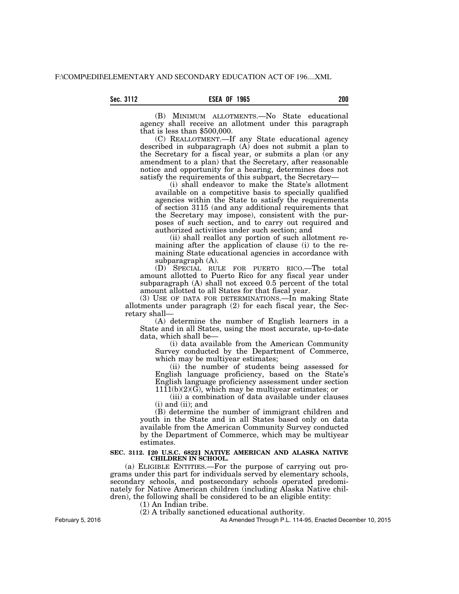(B) MINIMUM ALLOTMENTS.—No State educational agency shall receive an allotment under this paragraph that is less than \$500,000.

(C) REALLOTMENT.—If any State educational agency described in subparagraph (A) does not submit a plan to the Secretary for a fiscal year, or submits a plan (or any amendment to a plan) that the Secretary, after reasonable notice and opportunity for a hearing, determines does not satisfy the requirements of this subpart, the Secretary-

(i) shall endeavor to make the State's allotment available on a competitive basis to specially qualified agencies within the State to satisfy the requirements of section 3115 (and any additional requirements that the Secretary may impose), consistent with the purposes of such section, and to carry out required and authorized activities under such section; and

(ii) shall reallot any portion of such allotment remaining after the application of clause (i) to the remaining State educational agencies in accordance with subparagraph (A).

(D) SPECIAL RULE FOR PUERTO RICO.—The total amount allotted to Puerto Rico for any fiscal year under subparagraph (A) shall not exceed 0.5 percent of the total amount allotted to all States for that fiscal year.

(3) USE OF DATA FOR DETERMINATIONS.—In making State allotments under paragraph (2) for each fiscal year, the Secretary shall—

(A) determine the number of English learners in a State and in all States, using the most accurate, up-to-date data, which shall be—

(i) data available from the American Community Survey conducted by the Department of Commerce, which may be multiyear estimates;

(ii) the number of students being assessed for English language proficiency, based on the State's English language proficiency assessment under section  $1111(b)(2)(G)$ , which may be multiyear estimates; or

(iii) a combination of data available under clauses (i) and (ii); and

(B) determine the number of immigrant children and youth in the State and in all States based only on data available from the American Community Survey conducted by the Department of Commerce, which may be multiyear estimates.

#### SEC. 3112. [20 U.S.C. 6822] NATIVE AMERICAN AND ALASKA NATIVE **CHILDREN IN SCHOOL.**

(a) ELIGIBLE ENTITIES.—For the purpose of carrying out programs under this part for individuals served by elementary schools, secondary schools, and postsecondary schools operated predominately for Native American children (including Alaska Native children), the following shall be considered to be an eligible entity:

(1) An Indian tribe.

(2) A tribally sanctioned educational authority.

As Amended Through P.L. 114-95, Enacted December 10, 2015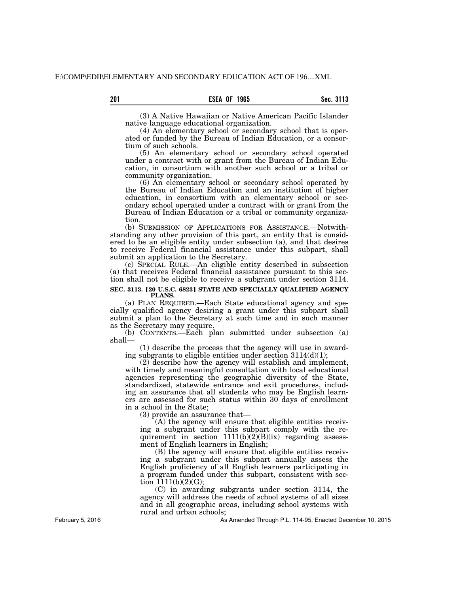(3) A Native Hawaiian or Native American Pacific Islander native language educational organization.

(4) An elementary school or secondary school that is operated or funded by the Bureau of Indian Education, or a consortium of such schools.

(5) An elementary school or secondary school operated under a contract with or grant from the Bureau of Indian Education, in consortium with another such school or a tribal or community organization.

(6) An elementary school or secondary school operated by the Bureau of Indian Education and an institution of higher education, in consortium with an elementary school or secondary school operated under a contract with or grant from the Bureau of Indian Education or a tribal or community organization.

(b) SUBMISSION OF APPLICATIONS FOR ASSISTANCE.—Notwithstanding any other provision of this part, an entity that is considered to be an eligible entity under subsection (a), and that desires to receive Federal financial assistance under this subpart, shall submit an application to the Secretary.

(c) SPECIAL RULE.—An eligible entity described in subsection (a) that receives Federal financial assistance pursuant to this section shall not be eligible to receive a subgrant under section 3114.

#### **SEC. 3113. [20 U.S.C. 6823] STATE AND SPECIALLY QUALIFIED AGENCY PLANS.**

(a) PLAN REQUIRED.—Each State educational agency and specially qualified agency desiring a grant under this subpart shall submit a plan to the Secretary at such time and in such manner as the Secretary may require.

(b) CONTENTS.—Each plan submitted under subsection (a) shall—

(1) describe the process that the agency will use in awarding subgrants to eligible entities under section  $3114\left(\frac{d}{1}\right);$ 

(2) describe how the agency will establish and implement, with timely and meaningful consultation with local educational agencies representing the geographic diversity of the State, standardized, statewide entrance and exit procedures, including an assurance that all students who may be English learners are assessed for such status within 30 days of enrollment in a school in the State;

(3) provide an assurance that—

(A) the agency will ensure that eligible entities receiving a subgrant under this subpart comply with the requirement in section  $1111(b)(2)(B)(ix)$  regarding assessment of English learners in English;

(B) the agency will ensure that eligible entities receiving a subgrant under this subpart annually assess the English proficiency of all English learners participating in a program funded under this subpart, consistent with section  $1111(b)(2)(G);$ 

(C) in awarding subgrants under section 3114, the agency will address the needs of school systems of all sizes and in all geographic areas, including school systems with rural and urban schools;

As Amended Through P.L. 114-95, Enacted December 10, 2015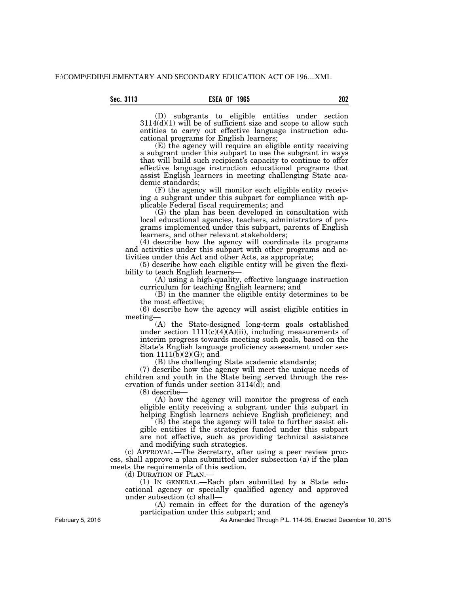(D) subgrants to eligible entities under section  $3114(d)(1)$  will be of sufficient size and scope to allow such entities to carry out effective language instruction educational programs for English learners;

(E) the agency will require an eligible entity receiving a subgrant under this subpart to use the subgrant in ways that will build such recipient's capacity to continue to offer effective language instruction educational programs that assist English learners in meeting challenging State academic standards;

(F) the agency will monitor each eligible entity receiving a subgrant under this subpart for compliance with applicable Federal fiscal requirements; and

(G) the plan has been developed in consultation with local educational agencies, teachers, administrators of programs implemented under this subpart, parents of English learners, and other relevant stakeholders;

(4) describe how the agency will coordinate its programs and activities under this subpart with other programs and activities under this Act and other Acts, as appropriate;

(5) describe how each eligible entity will be given the flexibility to teach English learners—

(A) using a high-quality, effective language instruction curriculum for teaching English learners; and

(B) in the manner the eligible entity determines to be the most effective;

(6) describe how the agency will assist eligible entities in meeting—

(A) the State-designed long-term goals established under section  $1111(c)(4)(A)(ii)$ , including measurements of interim progress towards meeting such goals, based on the State's English language proficiency assessment under section  $1111(\overline{b})(2)(G)$ ; and

(B) the challenging State academic standards;

(7) describe how the agency will meet the unique needs of children and youth in the State being served through the reservation of funds under section 3114(d); and

(8) describe—

(A) how the agency will monitor the progress of each eligible entity receiving a subgrant under this subpart in helping English learners achieve English proficiency; and

(B) the steps the agency will take to further assist eligible entities if the strategies funded under this subpart are not effective, such as providing technical assistance and modifying such strategies.

(c) APPROVAL.—The Secretary, after using a peer review process, shall approve a plan submitted under subsection (a) if the plan meets the requirements of this section.

(d) DURATION OF PLAN.

(1) IN GENERAL.—Each plan submitted by a State educational agency or specially qualified agency and approved under subsection (c) shall—

(A) remain in effect for the duration of the agency's participation under this subpart; and

As Amended Through P.L. 114-95, Enacted December 10, 2015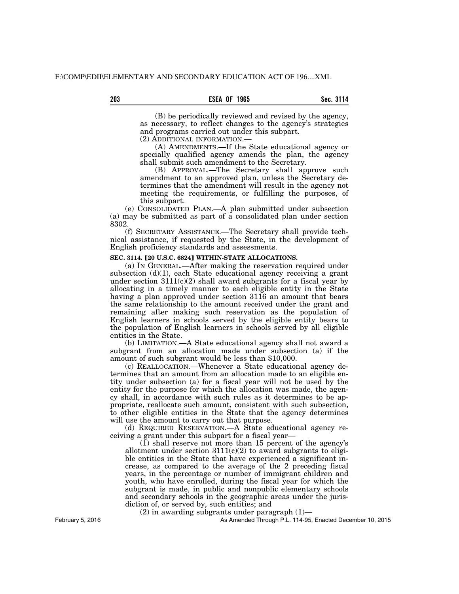(B) be periodically reviewed and revised by the agency, as necessary, to reflect changes to the agency's strategies and programs carried out under this subpart.

(2) ADDITIONAL INFORMATION.—

(A) AMENDMENTS.—If the State educational agency or specially qualified agency amends the plan, the agency shall submit such amendment to the Secretary.

(B) APPROVAL.—The Secretary shall approve such amendment to an approved plan, unless the Secretary determines that the amendment will result in the agency not meeting the requirements, or fulfilling the purposes, of this subpart.

(e) CONSOLIDATED PLAN.—A plan submitted under subsection (a) may be submitted as part of a consolidated plan under section 8302.

(f) SECRETARY ASSISTANCE.—The Secretary shall provide technical assistance, if requested by the State, in the development of English proficiency standards and assessments.

#### **SEC. 3114. [20 U.S.C. 6824] WITHIN-STATE ALLOCATIONS.**

(a) IN GENERAL.—After making the reservation required under subsection  $(d)(1)$ , each State educational agency receiving a grant under section  $3111(c)(2)$  shall award subgrants for a fiscal year by allocating in a timely manner to each eligible entity in the State having a plan approved under section 3116 an amount that bears the same relationship to the amount received under the grant and remaining after making such reservation as the population of English learners in schools served by the eligible entity bears to the population of English learners in schools served by all eligible entities in the State.

(b) LIMITATION.—A State educational agency shall not award a subgrant from an allocation made under subsection (a) if the amount of such subgrant would be less than \$10,000.

(c) REALLOCATION.—Whenever a State educational agency determines that an amount from an allocation made to an eligible entity under subsection (a) for a fiscal year will not be used by the entity for the purpose for which the allocation was made, the agency shall, in accordance with such rules as it determines to be appropriate, reallocate such amount, consistent with such subsection, to other eligible entities in the State that the agency determines will use the amount to carry out that purpose.

(d) REQUIRED RESERVATION.—A State educational agency receiving a grant under this subpart for a fiscal year—

 $(1)$  shall reserve not more than 15 percent of the agency's allotment under section  $3111(c)(2)$  to award subgrants to eligible entities in the State that have experienced a significant increase, as compared to the average of the 2 preceding fiscal years, in the percentage or number of immigrant children and youth, who have enrolled, during the fiscal year for which the subgrant is made, in public and nonpublic elementary schools and secondary schools in the geographic areas under the jurisdiction of, or served by, such entities; and

 $(2)$  in awarding subgrants under paragraph  $(1)$ —

As Amended Through P.L. 114-95, Enacted December 10, 2015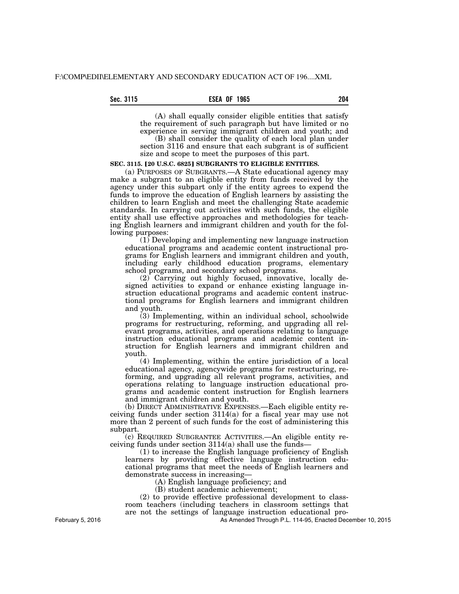## **Sec. 3115 ESEA OF 1965 204**

(A) shall equally consider eligible entities that satisfy the requirement of such paragraph but have limited or no experience in serving immigrant children and youth; and

(B) shall consider the quality of each local plan under section 3116 and ensure that each subgrant is of sufficient size and scope to meet the purposes of this part.

## **SEC. 3115. [20 U.S.C. 6825] SUBGRANTS TO ELIGIBLE ENTITIES.**

(a) PURPOSES OF SUBGRANTS.—A State educational agency may make a subgrant to an eligible entity from funds received by the agency under this subpart only if the entity agrees to expend the funds to improve the education of English learners by assisting the children to learn English and meet the challenging State academic standards. In carrying out activities with such funds, the eligible entity shall use effective approaches and methodologies for teaching English learners and immigrant children and youth for the following purposes:

(1) Developing and implementing new language instruction educational programs and academic content instructional programs for English learners and immigrant children and youth, including early childhood education programs, elementary school programs, and secondary school programs.

(2) Carrying out highly focused, innovative, locally designed activities to expand or enhance existing language instruction educational programs and academic content instructional programs for English learners and immigrant children and youth.

(3) Implementing, within an individual school, schoolwide programs for restructuring, reforming, and upgrading all relevant programs, activities, and operations relating to language instruction educational programs and academic content instruction for English learners and immigrant children and youth.

(4) Implementing, within the entire jurisdiction of a local educational agency, agencywide programs for restructuring, reforming, and upgrading all relevant programs, activities, and operations relating to language instruction educational programs and academic content instruction for English learners and immigrant children and youth.

(b) DIRECT ADMINISTRATIVE EXPENSES.—Each eligible entity receiving funds under section 3114(a) for a fiscal year may use not more than 2 percent of such funds for the cost of administering this subpart.

(c) REQUIRED SUBGRANTEE ACTIVITIES.—An eligible entity receiving funds under section 3114(a) shall use the funds—

(1) to increase the English language proficiency of English learners by providing effective language instruction educational programs that meet the needs of English learners and demonstrate success in increasing—

(A) English language proficiency; and

(B) student academic achievement;

(2) to provide effective professional development to classroom teachers (including teachers in classroom settings that are not the settings of language instruction educational pro-

As Amended Through P.L. 114-95, Enacted December 10, 2015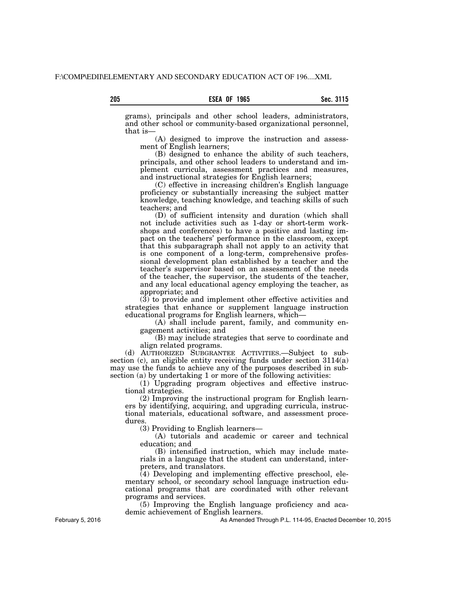grams), principals and other school leaders, administrators, and other school or community-based organizational personnel, that is—

(A) designed to improve the instruction and assessment of English learners;

(B) designed to enhance the ability of such teachers, principals, and other school leaders to understand and implement curricula, assessment practices and measures, and instructional strategies for English learners;

(C) effective in increasing children's English language proficiency or substantially increasing the subject matter knowledge, teaching knowledge, and teaching skills of such teachers; and

(D) of sufficient intensity and duration (which shall not include activities such as 1-day or short-term workshops and conferences) to have a positive and lasting impact on the teachers' performance in the classroom, except that this subparagraph shall not apply to an activity that is one component of a long-term, comprehensive professional development plan established by a teacher and the teacher's supervisor based on an assessment of the needs of the teacher, the supervisor, the students of the teacher, and any local educational agency employing the teacher, as appropriate; and

(3) to provide and implement other effective activities and strategies that enhance or supplement language instruction educational programs for English learners, which—

(A) shall include parent, family, and community engagement activities; and

(B) may include strategies that serve to coordinate and align related programs.

(d) AUTHORIZED SUBGRANTEE ACTIVITIES.—Subject to subsection (c), an eligible entity receiving funds under section 3114(a) may use the funds to achieve any of the purposes described in subsection (a) by undertaking 1 or more of the following activities:

(1) Upgrading program objectives and effective instructional strategies.

(2) Improving the instructional program for English learners by identifying, acquiring, and upgrading curricula, instructional materials, educational software, and assessment procedures.

(3) Providing to English learners—

(A) tutorials and academic or career and technical education; and

(B) intensified instruction, which may include materials in a language that the student can understand, interpreters, and translators.

(4) Developing and implementing effective preschool, elementary school, or secondary school language instruction educational programs that are coordinated with other relevant programs and services.

(5) Improving the English language proficiency and academic achievement of English learners.

As Amended Through P.L. 114-95, Enacted December 10, 2015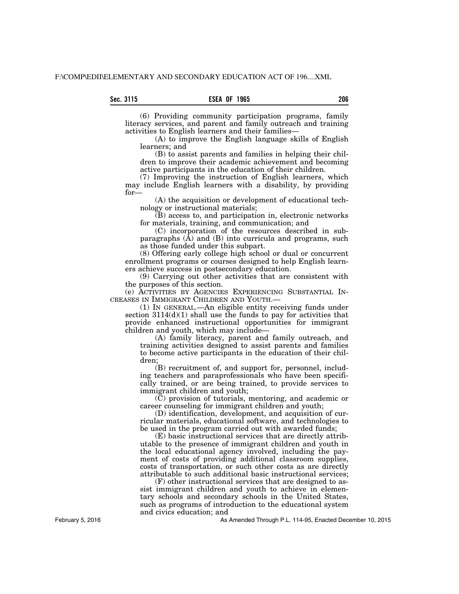(6) Providing community participation programs, family literacy services, and parent and family outreach and training activities to English learners and their families—

(A) to improve the English language skills of English learners; and

(B) to assist parents and families in helping their children to improve their academic achievement and becoming active participants in the education of their children.

(7) Improving the instruction of English learners, which may include English learners with a disability, by providing for—

(A) the acquisition or development of educational technology or instructional materials;

(B) access to, and participation in, electronic networks for materials, training, and communication; and

(C) incorporation of the resources described in subparagraphs  $(\overline{A})$  and  $(B)$  into curricula and programs, such as those funded under this subpart.

(8) Offering early college high school or dual or concurrent enrollment programs or courses designed to help English learners achieve success in postsecondary education.

(9) Carrying out other activities that are consistent with the purposes of this section.

(e) ACTIVITIES BY AGENCIES EXPERIENCING SUBSTANTIAL IN-CREASES IN IMMIGRANT CHILDREN AND YOUTH.—

(1) IN GENERAL.—An eligible entity receiving funds under section 3114(d)(1) shall use the funds to pay for activities that provide enhanced instructional opportunities for immigrant children and youth, which may include—

(A) family literacy, parent and family outreach, and training activities designed to assist parents and families to become active participants in the education of their children;

(B) recruitment of, and support for, personnel, including teachers and paraprofessionals who have been specifically trained, or are being trained, to provide services to immigrant children and youth;

(C) provision of tutorials, mentoring, and academic or career counseling for immigrant children and youth;

(D) identification, development, and acquisition of curricular materials, educational software, and technologies to be used in the program carried out with awarded funds;

(E) basic instructional services that are directly attributable to the presence of immigrant children and youth in the local educational agency involved, including the payment of costs of providing additional classroom supplies, costs of transportation, or such other costs as are directly attributable to such additional basic instructional services;

(F) other instructional services that are designed to assist immigrant children and youth to achieve in elementary schools and secondary schools in the United States, such as programs of introduction to the educational system and civics education; and

As Amended Through P.L. 114-95, Enacted December 10, 2015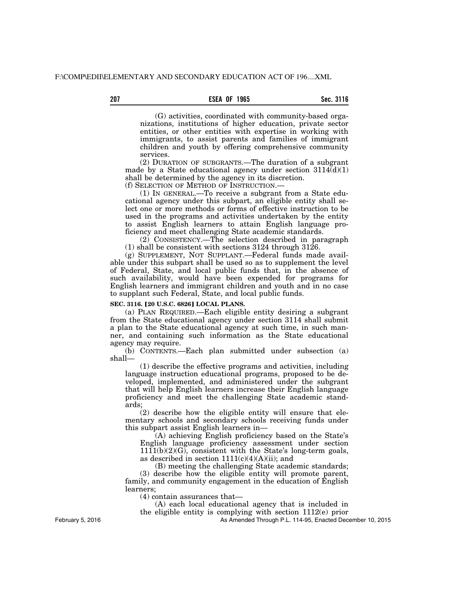## **207 Sec. 3116 ESEA OF 1965**

(G) activities, coordinated with community-based organizations, institutions of higher education, private sector entities, or other entities with expertise in working with immigrants, to assist parents and families of immigrant children and youth by offering comprehensive community services.

(2) DURATION OF SUBGRANTS.—The duration of a subgrant made by a State educational agency under section  $3114(d)(1)$ shall be determined by the agency in its discretion.

(f) SELECTION OF METHOD OF INSTRUCTION.—

(1) IN GENERAL.—To receive a subgrant from a State educational agency under this subpart, an eligible entity shall select one or more methods or forms of effective instruction to be used in the programs and activities undertaken by the entity to assist English learners to attain English language proficiency and meet challenging State academic standards.

(2) CONSISTENCY.—The selection described in paragraph (1) shall be consistent with sections 3124 through 3126.

(g) SUPPLEMENT, NOT SUPPLANT.—Federal funds made available under this subpart shall be used so as to supplement the level of Federal, State, and local public funds that, in the absence of such availability, would have been expended for programs for English learners and immigrant children and youth and in no case to supplant such Federal, State, and local public funds.

## **SEC. 3116. [20 U.S.C. 6826] LOCAL PLANS.**

(a) PLAN REQUIRED.—Each eligible entity desiring a subgrant from the State educational agency under section 3114 shall submit a plan to the State educational agency at such time, in such manner, and containing such information as the State educational agency may require.

(b) CONTENTS.—Each plan submitted under subsection (a) shall—

(1) describe the effective programs and activities, including language instruction educational programs, proposed to be developed, implemented, and administered under the subgrant that will help English learners increase their English language proficiency and meet the challenging State academic standards;

(2) describe how the eligible entity will ensure that elementary schools and secondary schools receiving funds under this subpart assist English learners in—

(A) achieving English proficiency based on the State's English language proficiency assessment under section  $1111(b)(2)(G)$ , consistent with the State's long-term goals, as described in section  $1111(c)(4)(A)(ii)$ ; and

(B) meeting the challenging State academic standards; (3) describe how the eligible entity will promote parent, family, and community engagement in the education of English learners;

(4) contain assurances that—

(A) each local educational agency that is included in the eligible entity is complying with section 1112(e) prior

As Amended Through P.L. 114-95, Enacted December 10, 2015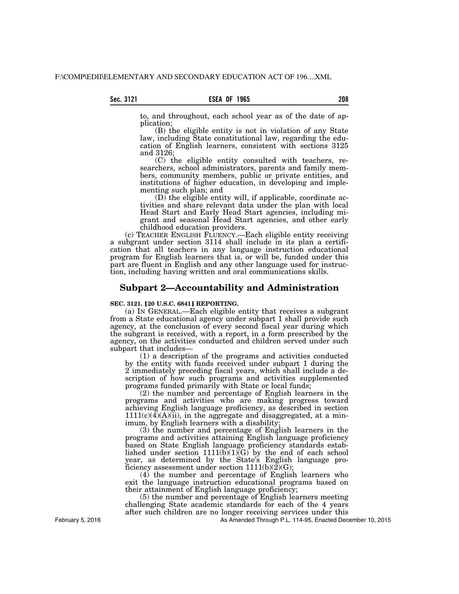to, and throughout, each school year as of the date of application;

(B) the eligible entity is not in violation of any State law, including State constitutional law, regarding the education of English learners, consistent with sections 3125 and 3126;

(C) the eligible entity consulted with teachers, researchers, school administrators, parents and family members, community members, public or private entities, and institutions of higher education, in developing and implementing such plan; and

(D) the eligible entity will, if applicable, coordinate activities and share relevant data under the plan with local Head Start and Early Head Start agencies, including migrant and seasonal Head Start agencies, and other early childhood education providers.

(c) TEACHER ENGLISH FLUENCY.—Each eligible entity receiving a subgrant under section 3114 shall include in its plan a certification that all teachers in any language instruction educational program for English learners that is, or will be, funded under this part are fluent in English and any other language used for instruction, including having written and oral communications skills.

## **Subpart 2—Accountability and Administration**

#### **SEC. 3121. [20 U.S.C. 6841] REPORTING.**

(a) IN GENERAL.—Each eligible entity that receives a subgrant from a State educational agency under subpart 1 shall provide such agency, at the conclusion of every second fiscal year during which the subgrant is received, with a report, in a form prescribed by the agency, on the activities conducted and children served under such subpart that includes—

(1) a description of the programs and activities conducted by the entity with funds received under subpart 1 during the 2 immediately preceding fiscal years, which shall include a description of how such programs and activities supplemented programs funded primarily with State or local funds;

(2) the number and percentage of English learners in the programs and activities who are making progress toward achieving English language proficiency, as described in section  $1111(c)(4)(A)(ii)$ , in the aggregate and disaggregated, at a minimum, by English learners with a disability;

 $(3)$  the number and percentage of English learners in the programs and activities attaining English language proficiency based on State English language proficiency standards established under section  $1111(b)(1)(G)$  by the end of each school year, as determined by the State's English language proficiency assessment under section  $1111(b)(\overline{2})(G);$ 

(4) the number and percentage of English learners who exit the language instruction educational programs based on their attainment of English language proficiency;

(5) the number and percentage of English learners meeting challenging State academic standards for each of the 4 years after such children are no longer receiving services under this

As Amended Through P.L. 114-95, Enacted December 10, 2015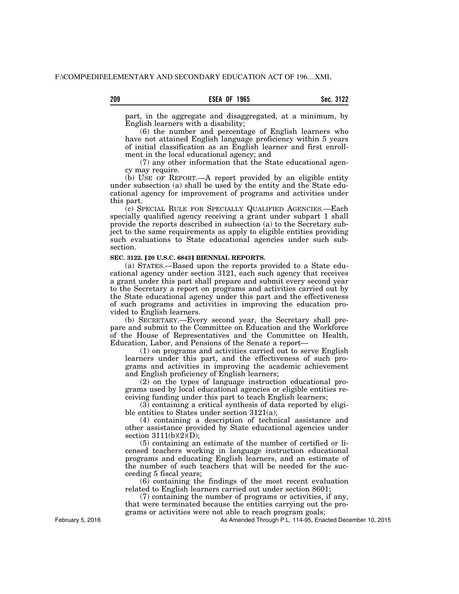## **209 Sec. 3122 ESEA OF 1965**

part, in the aggregate and disaggregated, at a minimum, by English learners with a disability;

(6) the number and percentage of English learners who have not attained English language proficiency within 5 years of initial classification as an English learner and first enrollment in the local educational agency; and

(7) any other information that the State educational agency may require.

(b) USE OF REPORT.—A report provided by an eligible entity under subsection (a) shall be used by the entity and the State educational agency for improvement of programs and activities under this part.

(c) SPECIAL RULE FOR SPECIALLY QUALIFIED AGENCIES.—Each specially qualified agency receiving a grant under subpart 1 shall provide the reports described in subsection (a) to the Secretary subject to the same requirements as apply to eligible entities providing such evaluations to State educational agencies under such subsection.

## **SEC. 3122. [20 U.S.C. 6843] BIENNIAL REPORTS.**

(a) STATES.—Based upon the reports provided to a State educational agency under section 3121, each such agency that receives a grant under this part shall prepare and submit every second year to the Secretary a report on programs and activities carried out by the State educational agency under this part and the effectiveness of such programs and activities in improving the education provided to English learners.

(b) SECRETARY.—Every second year, the Secretary shall prepare and submit to the Committee on Education and the Workforce of the House of Representatives and the Committee on Health, Education, Labor, and Pensions of the Senate a report—

(1) on programs and activities carried out to serve English learners under this part, and the effectiveness of such programs and activities in improving the academic achievement and English proficiency of English learners;

(2) on the types of language instruction educational programs used by local educational agencies or eligible entities receiving funding under this part to teach English learners;

(3) containing a critical synthesis of data reported by eligible entities to States under section 3121(a);

(4) containing a description of technical assistance and other assistance provided by State educational agencies under section  $3111(b)(2)(D)$ ;

(5) containing an estimate of the number of certified or licensed teachers working in language instruction educational programs and educating English learners, and an estimate of the number of such teachers that will be needed for the succeeding 5 fiscal years;

(6) containing the findings of the most recent evaluation related to English learners carried out under section 8601;

(7) containing the number of programs or activities, if any, that were terminated because the entities carrying out the programs or activities were not able to reach program goals;

As Amended Through P.L. 114-95, Enacted December 10, 2015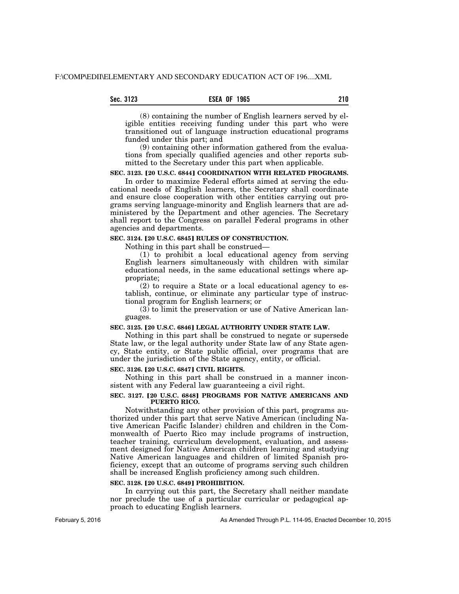## **Sec. 3123 ESEA OF 1965 210**

(8) containing the number of English learners served by eligible entities receiving funding under this part who were transitioned out of language instruction educational programs funded under this part; and

(9) containing other information gathered from the evaluations from specially qualified agencies and other reports submitted to the Secretary under this part when applicable.

# **SEC. 3123. [20 U.S.C. 6844] COORDINATION WITH RELATED PROGRAMS.**

In order to maximize Federal efforts aimed at serving the educational needs of English learners, the Secretary shall coordinate and ensure close cooperation with other entities carrying out programs serving language-minority and English learners that are administered by the Department and other agencies. The Secretary shall report to the Congress on parallel Federal programs in other agencies and departments.

## **SEC. 3124. [20 U.S.C. 6845] RULES OF CONSTRUCTION.**

Nothing in this part shall be construed—

(1) to prohibit a local educational agency from serving English learners simultaneously with children with similar educational needs, in the same educational settings where appropriate;

(2) to require a State or a local educational agency to establish, continue, or eliminate any particular type of instructional program for English learners; or

 $(3)$  to limit the preservation or use of Native American languages.

### **SEC. 3125. [20 U.S.C. 6846] LEGAL AUTHORITY UNDER STATE LAW.**

Nothing in this part shall be construed to negate or supersede State law, or the legal authority under State law of any State agency, State entity, or State public official, over programs that are under the jurisdiction of the State agency, entity, or official.

#### **SEC. 3126.** ø**20 U.S.C. 6847**¿ **CIVIL RIGHTS.**

Nothing in this part shall be construed in a manner inconsistent with any Federal law guaranteeing a civil right.

#### **SEC. 3127. [20 U.S.C. 6848] PROGRAMS FOR NATIVE AMERICANS AND PUERTO RICO.**

Notwithstanding any other provision of this part, programs authorized under this part that serve Native American (including Native American Pacific Islander) children and children in the Commonwealth of Puerto Rico may include programs of instruction, teacher training, curriculum development, evaluation, and assessment designed for Native American children learning and studying Native American languages and children of limited Spanish proficiency, except that an outcome of programs serving such children shall be increased English proficiency among such children.

#### **SEC. 3128. [20 U.S.C. 6849] PROHIBITION.**

In carrying out this part, the Secretary shall neither mandate nor preclude the use of a particular curricular or pedagogical approach to educating English learners.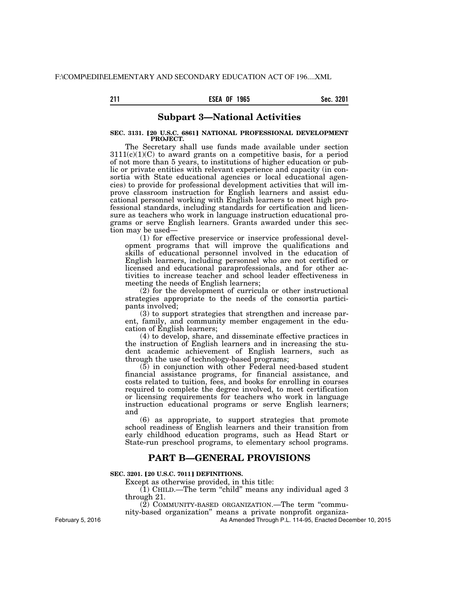## **211 Sec. 3201 ESEA OF 1965**

# **Subpart 3—National Activities**

### **SEC. 3131. [20 U.S.C. 6861] NATIONAL PROFESSIONAL DEVELOPMENT PROJECT.**

The Secretary shall use funds made available under section  $3111(c)(1)(C)$  to award grants on a competitive basis, for a period of not more than 5 years, to institutions of higher education or public or private entities with relevant experience and capacity (in consortia with State educational agencies or local educational agencies) to provide for professional development activities that will improve classroom instruction for English learners and assist educational personnel working with English learners to meet high professional standards, including standards for certification and licensure as teachers who work in language instruction educational programs or serve English learners. Grants awarded under this section may be used—

(1) for effective preservice or inservice professional development programs that will improve the qualifications and skills of educational personnel involved in the education of English learners, including personnel who are not certified or licensed and educational paraprofessionals, and for other activities to increase teacher and school leader effectiveness in meeting the needs of English learners;

(2) for the development of curricula or other instructional strategies appropriate to the needs of the consortia participants involved;

(3) to support strategies that strengthen and increase parent, family, and community member engagement in the education of English learners;

(4) to develop, share, and disseminate effective practices in the instruction of English learners and in increasing the student academic achievement of English learners, such as through the use of technology-based programs;

(5) in conjunction with other Federal need-based student financial assistance programs, for financial assistance, and costs related to tuition, fees, and books for enrolling in courses required to complete the degree involved, to meet certification or licensing requirements for teachers who work in language instruction educational programs or serve English learners; and

(6) as appropriate, to support strategies that promote school readiness of English learners and their transition from early childhood education programs, such as Head Start or State-run preschool programs, to elementary school programs.

# **PART B—GENERAL PROVISIONS**

## **SEC. 3201. [20 U.S.C. 7011] DEFINITIONS.**

Except as otherwise provided, in this title:

 $(1)$  CHILD.—The term "child" means any individual aged 3 through 21.

 $(2)$  COMMUNITY-BASED ORGANIZATION.—The term "commu-

nity-based organization'' means a private nonprofit organiza-

As Amended Through P.L. 114-95, Enacted December 10, 2015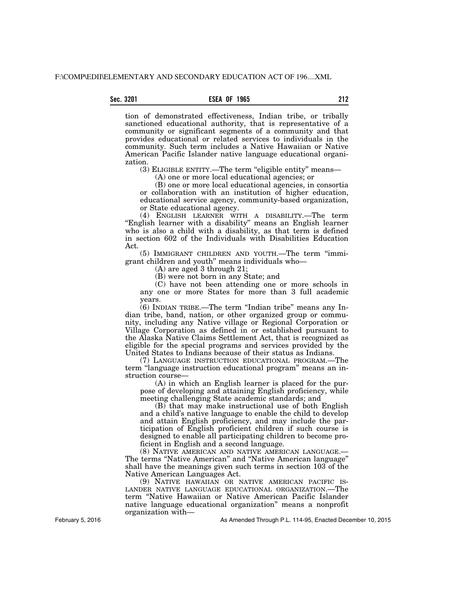tion of demonstrated effectiveness, Indian tribe, or tribally sanctioned educational authority, that is representative of a community or significant segments of a community and that provides educational or related services to individuals in the community. Such term includes a Native Hawaiian or Native American Pacific Islander native language educational organization.

(3) ELIGIBLE ENTITY.—The term ''eligible entity'' means—

(A) one or more local educational agencies; or

(B) one or more local educational agencies, in consortia or collaboration with an institution of higher education, educational service agency, community-based organization, or State educational agency.

(4) ENGLISH LEARNER WITH A DISABILITY.—The term "English learner with a disability" means an English learner who is also a child with a disability, as that term is defined in section 602 of the Individuals with Disabilities Education Act.

(5) IMMIGRANT CHILDREN AND YOUTH.—The term ''immigrant children and youth'' means individuals who—

(A) are aged 3 through 21;

(B) were not born in any State; and

(C) have not been attending one or more schools in any one or more States for more than 3 full academic years.

(6) INDIAN TRIBE.—The term ''Indian tribe'' means any Indian tribe, band, nation, or other organized group or community, including any Native village or Regional Corporation or Village Corporation as defined in or established pursuant to the Alaska Native Claims Settlement Act, that is recognized as eligible for the special programs and services provided by the United States to Indians because of their status as Indians.

(7) LANGUAGE INSTRUCTION EDUCATIONAL PROGRAM.—The term "language instruction educational program" means an instruction course—

(A) in which an English learner is placed for the purpose of developing and attaining English proficiency, while meeting challenging State academic standards; and

(B) that may make instructional use of both English and a child's native language to enable the child to develop and attain English proficiency, and may include the participation of English proficient children if such course is designed to enable all participating children to become proficient in English and a second language.

(8) NATIVE AMERICAN AND NATIVE AMERICAN LANGUAGE.— The terms ''Native American'' and ''Native American language'' shall have the meanings given such terms in section 103 of the Native American Languages Act.

(9) NATIVE HAWAIIAN OR NATIVE AMERICAN PACIFIC IS-LANDER NATIVE LANGUAGE EDUCATIONAL ORGANIZATION.—The term ''Native Hawaiian or Native American Pacific Islander native language educational organization'' means a nonprofit organization with—

As Amended Through P.L. 114-95, Enacted December 10, 2015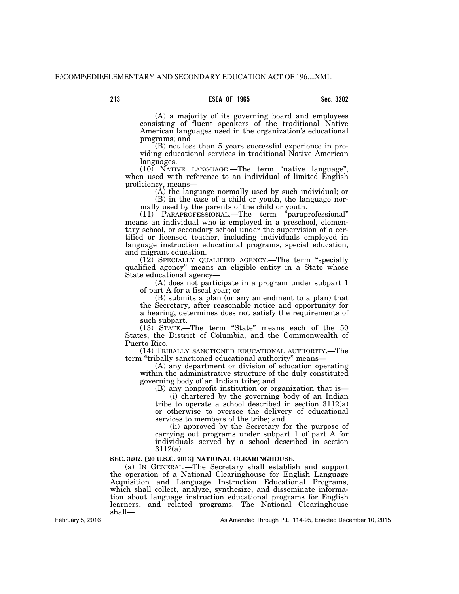## **213 Sec. 3202 ESEA OF 1965**

(A) a majority of its governing board and employees consisting of fluent speakers of the traditional Native American languages used in the organization's educational programs; and

(B) not less than 5 years successful experience in providing educational services in traditional Native American languages.

(10) NATIVE LANGUAGE.—The term ''native language'', when used with reference to an individual of limited English proficiency, means—

(A) the language normally used by such individual; or

(B) in the case of a child or youth, the language normally used by the parents of the child or youth.

(11) PARAPROFESSIONAL.—The term ''paraprofessional'' means an individual who is employed in a preschool, elementary school, or secondary school under the supervision of a certified or licensed teacher, including individuals employed in language instruction educational programs, special education, and migrant education.

(12) SPECIALLY QUALIFIED AGENCY.—The term ''specially qualified agency'' means an eligible entity in a State whose State educational agency—

(A) does not participate in a program under subpart 1 of part A for a fiscal year; or

(B) submits a plan (or any amendment to a plan) that the Secretary, after reasonable notice and opportunity for a hearing, determines does not satisfy the requirements of such subpart.

(13) STATE.—The term ''State'' means each of the 50 States, the District of Columbia, and the Commonwealth of Puerto Rico.

(14) TRIBALLY SANCTIONED EDUCATIONAL AUTHORITY.—The term "tribally sanctioned educational authority" means-

(A) any department or division of education operating within the administrative structure of the duly constituted governing body of an Indian tribe; and

(B) any nonprofit institution or organization that is—

(i) chartered by the governing body of an Indian tribe to operate a school described in section 3112(a) or otherwise to oversee the delivery of educational services to members of the tribe; and

(ii) approved by the Secretary for the purpose of carrying out programs under subpart 1 of part A for individuals served by a school described in section 3112(a).

#### **SEC. 3202. [20 U.S.C. 7013] NATIONAL CLEARINGHOUSE.**

(a) IN GENERAL.—The Secretary shall establish and support the operation of a National Clearinghouse for English Language Acquisition and Language Instruction Educational Programs, which shall collect, analyze, synthesize, and disseminate information about language instruction educational programs for English learners, and related programs. The National Clearinghouse shall—

February 5, 2016

As Amended Through P.L. 114-95, Enacted December 10, 2015